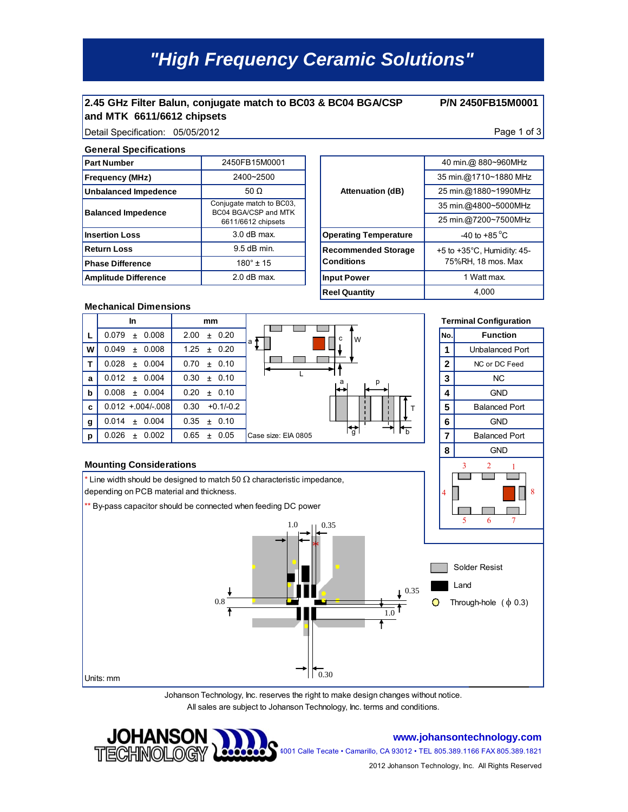# *"High Frequency Ceramic Solutions"*

### **2.45 GHz Filter Balun, conjugate match to BC03 & BC04 BGA/CSP and MTK 6611/6612 chipsets**

**P/N 2450FB15M0001** 

### Detail Specification: 05/05/2012 **Page 1 of 3**

#### **General Specifications**

| <b>Part Number</b>          | 2450FB15M0001                                                          |                              |
|-----------------------------|------------------------------------------------------------------------|------------------------------|
| <b>Frequency (MHz)</b>      | 2400~2500                                                              |                              |
| Unbalanced Impedence        | 50 $\Omega$                                                            | <b>Attenuation (dB)</b>      |
| <b>Balanced Impedence</b>   | Conjugate match to BC03,<br>BC04 BGA/CSP and MTK<br>6611/6612 chipsets |                              |
| <b>Insertion Loss</b>       | $3.0$ dB max.                                                          | <b>Operating Temperature</b> |
| <b>Return Loss</b>          | $9.5$ dB min.                                                          | <b>Recommended Storage</b>   |
| <b>Phase Difference</b>     | $180^{\circ}$ ± 15                                                     | <b>Conditions</b>            |
| <b>Amplitude Difference</b> | $2.0$ dB max.                                                          | <b>Input Power</b>           |
|                             |                                                                        |                              |

|                              | 40 min.@ 880~960MHz                    |  |
|------------------------------|----------------------------------------|--|
|                              | 35 min.@1710~1880 MHz                  |  |
| <b>Attenuation (dB)</b>      | 25 min.@1880~1990MHz                   |  |
|                              | 35 min.@4800~5000MHz                   |  |
|                              | 25 min.@7200~7500MHz                   |  |
| <b>Operating Temperature</b> | $-40$ to $+85^{\circ}$ C               |  |
| <b>Recommended Storage</b>   | $+5$ to $+35^{\circ}$ C, Humidity: 45- |  |
| <b>Conditions</b>            | 75%RH, 18 mos. Max<br>1 Watt max.      |  |
| <b>Input Power</b>           |                                        |  |
| <b>Reel Quantity</b>         | 4,000                                  |  |
|                              |                                        |  |

#### **Mechanical Dimensions**

|             | In                      | mm                    |                     |                                            |              | <b>Terminal Configuration</b> |
|-------------|-------------------------|-----------------------|---------------------|--------------------------------------------|--------------|-------------------------------|
|             | 0.008<br>0.079<br>$\pm$ | 2.00<br>± 0.20        | a                   | c<br>W                                     | No.          | <b>Function</b>               |
| W           | 0.008<br>$0.049 \pm$    | $1.25 \pm 0.20$       |                     |                                            |              | Unbalanced Port               |
|             | 0.004<br>0.028<br>$+$   | 0.70<br>± 0.10        |                     |                                            | $\mathbf{2}$ | NC or DC Feed                 |
| a           | 0.004<br>$0.012 \pm$    | 0.30<br>0.10<br>$\pm$ |                     | a                                          | 3            | N <sub>C</sub>                |
| $\mathbf b$ | 0.004<br>$0.008 \pm$    | ± 0.10<br>0.20        |                     | ⊷                                          | 4            | <b>GND</b>                    |
| $\mathbf c$ | $0.012 + 0.04/-008$     | $+0.1/-0.2$<br>0.30   |                     |                                            | 5            | <b>Balanced Port</b>          |
| g           | 0.004<br>$0.014 \pm$    | 0.35<br>± 0.10        |                     |                                            | 6            | <b>GND</b>                    |
| p           | 0.002<br>0.026<br>$+$   | 0.65<br>0.05<br>$\pm$ | Case size: EIA 0805 | $\frac{1}{b}$<br>$\mathbf{f}_{\mathbf{q}}$ | 7            | <b>Balanced Port</b>          |
|             |                         |                       |                     |                                            | 8            | <b>GND</b>                    |

#### **Mounting Considerations**



Johanson Technology, Inc. reserves the right to make design changes without notice. All sales are subject to Johanson Technology, Inc. terms and conditions.



#### **www.johansontechnology.com**

4001 Calle Tecate • Camarillo, CA 93012 • TEL 805.389.1166 FAX 805.389.1821

2012 Johanson Technology, Inc. All Rights Reserved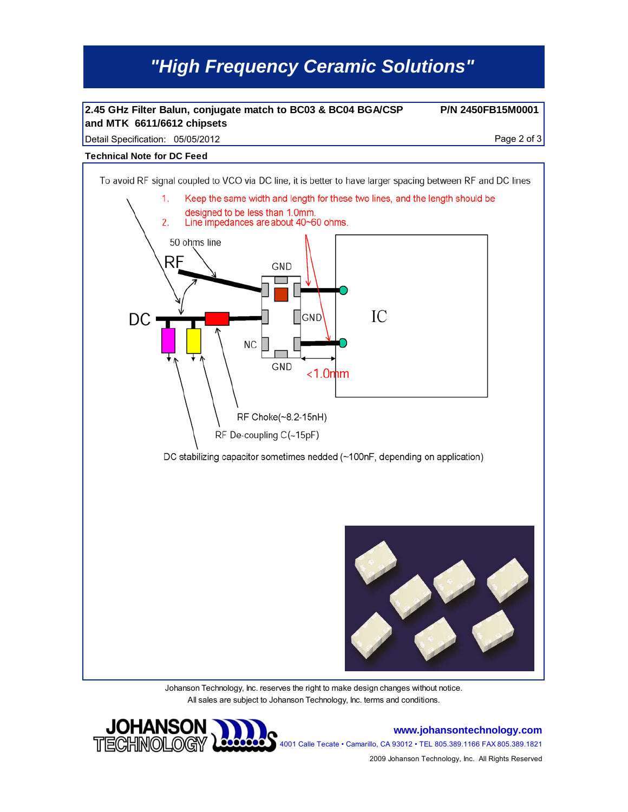# *"High Frequency Ceramic Solutions"*

### **2.45 GHz Filter Balun, conjugate match to BC03 & BC04 BGA/CSP and MTK 6611/6612 chipsets**

**P/N 2450FB15M0001** 

Detail Specification: 05/05/2012 Page 2 of 3

#### **Technical Note for DC Feed**



Johanson Technology, Inc. reserves the right to make design changes without notice. All sales are subject to Johanson Technology, Inc. terms and conditions.



**www.johansontechnology.com** 4001 Calle Tecate • Camarillo, CA 93012 • TEL 805.389.1166 FAX 805.389.1821

2009 Johanson Technology, Inc. All Rights Reserved